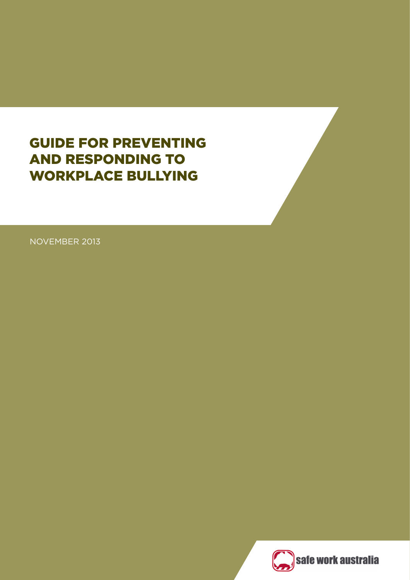# GUIDE FOR PREVENTING AND RESPONDING TO WORKPLACE BULLYING

NOVEMBER 2013

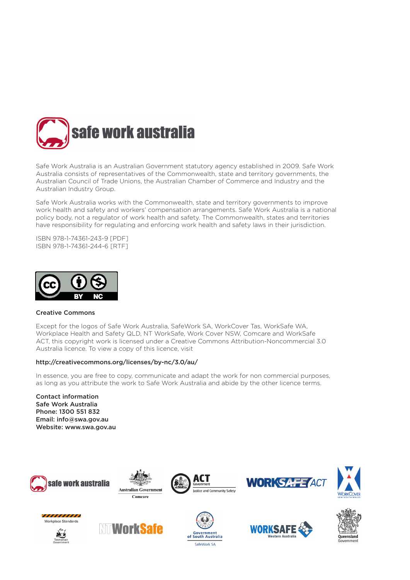

Safe Work Australia is an Australian Government statutory agency established in 2009. Safe Work Australia consists of representatives of the Commonwealth, state and territory governments, the Australian Council of Trade Unions, the Australian Chamber of Commerce and Industry and the Australian Industry Group.

Safe Work Australia works with the Commonwealth, state and territory governments to improve work health and safety and workers' compensation arrangements. Safe Work Australia is a national policy body, not a regulator of work health and safety. The Commonwealth, states and territories have responsibility for regulating and enforcing work health and safety laws in their jurisdiction.

ISBN 978-1-74361-243-9 [PDF] ISBN 978-1-74361-244-6 [RTF]



#### Creative Commons

Except for the logos of Safe Work Australia, SafeWork SA, WorkCover Tas, WorkSafe WA, Workplace Health and Safety QLD, NT WorkSafe, Work Cover NSW, Comcare and WorkSafe ACT, this copyright work is licensed under a Creative Commons Attribution-Noncommercial 3.0 Australia licence. To view a copy of this licence, visit

#### http://creativecommons.org/licenses/by-nc/3.0/au/

In essence, you are free to copy, communicate and adapt the work for non commercial purposes, as long as you attribute the work to Safe Work Australia and abide by the other licence terms.

Contact information Safe Work Australia Phone: 1300 551 832 Email: info@swa.gov.au Website: www.swa.gov.au





















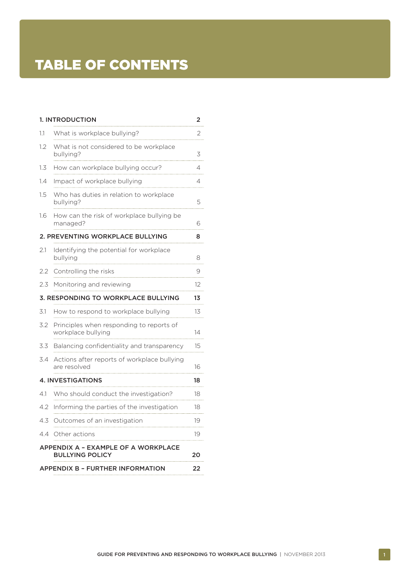# [TABLE OF CONTENTS](#page-3-0)

|                                                  | <b>1. INTRODUCTION</b>                                         | 2      |
|--------------------------------------------------|----------------------------------------------------------------|--------|
| 1.1                                              | What is workplace bullying?                                    | 2      |
| 1.2                                              | What is not considered to be workplace<br>bullying?            | 3      |
| 1.3                                              | How can workplace bullying occur?                              | 4      |
| 1.4                                              | Impact of workplace bullying                                   | 4<br>. |
| 1.5                                              | Who has duties in relation to workplace<br>bullying?           | 5      |
| 1.6                                              | How can the risk of workplace bullying be<br>managed?          | 6      |
|                                                  | 2. PREVENTING WORKPLACE BULLYING                               | 8      |
| 2.1                                              | Identifying the potential for workplace<br>bullying            | 8      |
| 2.2                                              | Controlling the risks                                          | 9      |
| 2.3                                              | Monitoring and reviewing                                       | 12     |
| <b>3. RESPONDING TO WORKPLACE BULLYING</b><br>13 |                                                                |        |
| 3.1                                              | How to respond to workplace bullying                           | 13     |
| 3.2                                              | Principles when responding to reports of<br>workplace bullying | 14     |
| 3.3                                              | Balancing confidentiality and transparency                     | 15     |
| 3.4                                              | Actions after reports of workplace bullying<br>are resolved    | 16     |
|                                                  | <b>4. INVESTIGATIONS</b>                                       | 18     |
| 4.1                                              | Who should conduct the investigation?                          | 18     |
| 4.2                                              | Informing the parties of the investigation                     | 18     |
| 4.3                                              | Outcomes of an investigation                                   | 19     |
| 4.4                                              | Other actions                                                  | 19     |
|                                                  | APPENDIX A - EXAMPLE OF A WORKPLACE<br><b>BULLYING POLICY</b>  | 20     |
| <b>APPENDIX B - FURTHER INFORMATION</b>          |                                                                |        |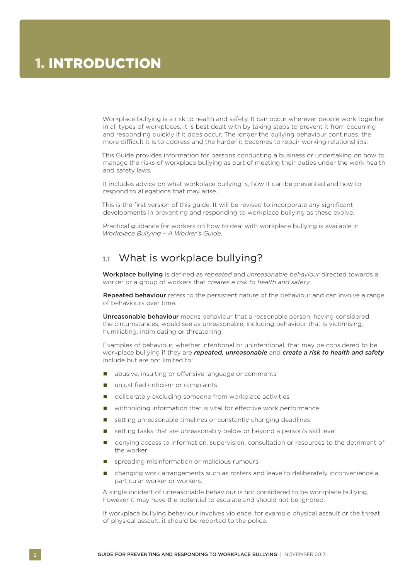<span id="page-3-0"></span>Workplace bullying is a risk to health and safety. It can occur wherever people work together in all types of workplaces. It is best dealt with by taking steps to prevent it from occurring and responding quickly if it does occur. The longer the bullying behaviour continues, the more difficult it is to address and the harder it becomes to repair working relationships.

This Guide provides information for persons conducting a business or undertaking on how to manage the risks of workplace bullying as part of meeting their duties under the work health and safety laws.

It includes advice on what workplace bullying is, how it can be prevented and how to respond to allegations that may arise.

This is the first version of this guide. It will be revised to incorporate any significant developments in preventing and responding to workplace bullying as these evolve.

Practical guidance for workers on how to deal with workplace bullying is available in *Workplace Bullying – A Worker's Guide*.

### **1.1** What is workplace bullying?

Workplace bullying is defined as *repeated* and *unreasonable behaviour* directed towards a worker or a group of workers that *creates a risk to health and safety*.

Repeated behaviour refers to the persistent nature of the behaviour and can involve a range of behaviours over time.

Unreasonable behaviour means behaviour that a reasonable person, having considered the circumstances, would see as unreasonable, including behaviour that is victimising, humiliating, intimidating or threatening.

Examples of behaviour, whether intentional or unintentional, that may be considered to be workplace bullying if they are *repeated, unreasonable* and *create a risk to health and safety* include but are not limited to:

- abusive, insulting or offensive language or comments
- unjustified criticism or complaints
- deliberately excluding someone from workplace activities
- withholding information that is vital for effective work performance
- setting unreasonable timelines or constantly changing deadlines
- setting tasks that are unreasonably below or beyond a person's skill level
- denying access to information, supervision, consultation or resources to the detriment of the worker
- spreading misinformation or malicious rumours
- changing work arrangements such as rosters and leave to deliberately inconvenience a particular worker or workers.

A single incident of unreasonable behaviour is not considered to be workplace bullying, however it may have the potential to escalate and should not be ignored.

If workplace bullying behaviour involves violence, for example physical assault or the threat of physical assault, it should be reported to the police.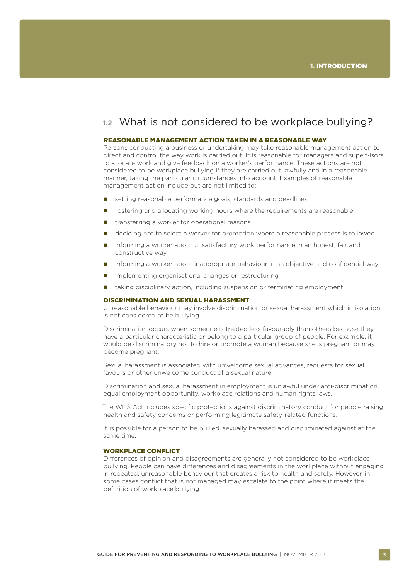### <span id="page-4-0"></span>**1.2** What is not considered to be workplace bullying?

### REASONABLE MANAGEMENT ACTION TAKEN IN A REASONABLE WAY

Persons conducting a business or undertaking may take reasonable management action to direct and control the way work is carried out. It is reasonable for managers and supervisors to allocate work and give feedback on a worker's performance. These actions are not considered to be workplace bullying if they are carried out lawfully and in a reasonable manner, taking the particular circumstances into account. Examples of reasonable management action include but are not limited to:

- setting reasonable performance goals, standards and deadlines
- **n** rostering and allocating working hours where the requirements are reasonable
- transferring a worker for operational reasons
- deciding not to select a worker for promotion where a reasonable process is followed
- **n** informing a worker about unsatisfactory work performance in an honest, fair and constructive way
- **n** informing a worker about inappropriate behaviour in an objective and confidential way
- **n** implementing organisational changes or restructuring
- **that** taking disciplinary action, including suspension or terminating employment.

#### DISCRIMINATION AND SEXUAL HARASSMENT

Unreasonable behaviour may involve discrimination or sexual harassment which in isolation is not considered to be bullying.

Discrimination occurs when someone is treated less favourably than others because they have a particular characteristic or belong to a particular group of people. For example, it would be discriminatory not to hire or promote a woman because she is pregnant or may become pregnant.

Sexual harassment is associated with unwelcome sexual advances, requests for sexual favours or other unwelcome conduct of a sexual nature.

Discrimination and sexual harassment in employment is unlawful under anti-discrimination, equal employment opportunity, workplace relations and human rights laws.

The WHS Act includes specific protections against discriminatory conduct for people raising health and safety concerns or performing legitimate safety-related functions.

It is possible for a person to be bullied, sexually harassed and discriminated against at the same time.

#### WORKPLACE CONFLICT

Differences of opinion and disagreements are generally not considered to be workplace bullying. People can have differences and disagreements in the workplace without engaging in repeated, unreasonable behaviour that creates a risk to health and safety. However, in some cases conflict that is not managed may escalate to the point where it meets the definition of workplace bullying.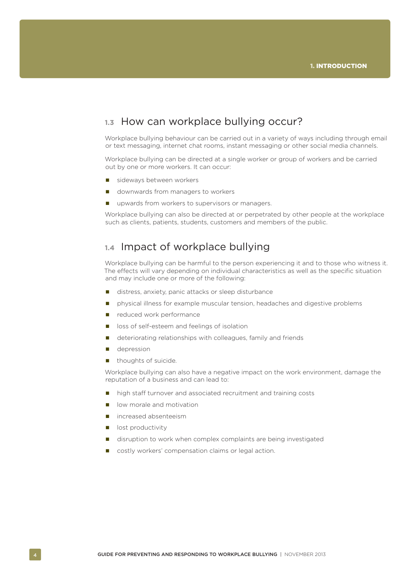### <span id="page-5-0"></span>**1.3** How can workplace bullying occur?

Workplace bullying behaviour can be carried out in a variety of ways including through email or text messaging, internet chat rooms, instant messaging or other social media channels.

Workplace bullying can be directed at a single worker or group of workers and be carried out by one or more workers. It can occur:

- sideways between workers
- **downwards from managers to workers**
- **upwards from workers to supervisors or managers.**

Workplace bullying can also be directed at or perpetrated by other people at the workplace such as clients, patients, students, customers and members of the public.

### **1.4** Impact of workplace bullying

Workplace bullying can be harmful to the person experiencing it and to those who witness it. The effects will vary depending on individual characteristics as well as the specific situation and may include one or more of the following:

- distress, anxiety, panic attacks or sleep disturbance
- **n** physical illness for example muscular tension, headaches and digestive problems
- reduced work performance
- loss of self-esteem and feelings of isolation
- deteriorating relationships with colleagues, family and friends
- **depression**
- $\blacksquare$  thoughts of suicide.

Workplace bullying can also have a negative impact on the work environment, damage the reputation of a business and can lead to:

- high staff turnover and associated recruitment and training costs
- **I** low morale and motivation
- increased absenteeism
- **I** lost productivity
- disruption to work when complex complaints are being investigated
- costly workers' compensation claims or legal action.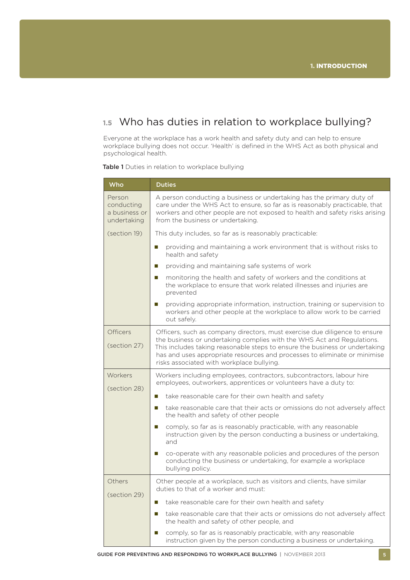## <span id="page-6-0"></span>**1.5** Who has duties in relation to workplace bullying?

Everyone at the workplace has a work health and safety duty and can help to ensure workplace bullying does not occur. 'Health' is defined in the WHS Act as both physical and psychological health.

Table 1 Duties in relation to workplace bullying

| Who                                                  | <b>Duties</b>                                                                                                                                                                                                                                                                   |  |
|------------------------------------------------------|---------------------------------------------------------------------------------------------------------------------------------------------------------------------------------------------------------------------------------------------------------------------------------|--|
| Person<br>conducting<br>a business or<br>undertaking | A person conducting a business or undertaking has the primary duty of<br>care under the WHS Act to ensure, so far as is reasonably practicable, that<br>workers and other people are not exposed to health and safety risks arising<br>from the business or undertaking.        |  |
| (section 19)                                         | This duty includes, so far as is reasonably practicable:                                                                                                                                                                                                                        |  |
|                                                      | providing and maintaining a work environment that is without risks to<br>L.<br>health and safety                                                                                                                                                                                |  |
|                                                      | providing and maintaining safe systems of work<br>L.                                                                                                                                                                                                                            |  |
|                                                      | monitoring the health and safety of workers and the conditions at<br>$\mathbb{Z}$<br>the workplace to ensure that work related illnesses and injuries are<br>prevented                                                                                                          |  |
|                                                      | providing appropriate information, instruction, training or supervision to<br>$\mathbb{Z}$<br>workers and other people at the workplace to allow work to be carried<br>out safely.                                                                                              |  |
| <b>Officers</b>                                      | Officers, such as company directors, must exercise due diligence to ensure                                                                                                                                                                                                      |  |
| (section 27)                                         | the business or undertaking complies with the WHS Act and Regulations.<br>This includes taking reasonable steps to ensure the business or undertaking<br>has and uses appropriate resources and processes to eliminate or minimise<br>risks associated with workplace bullying. |  |
| Workers<br>(section 28)                              | Workers including employees, contractors, subcontractors, labour hire<br>employees, outworkers, apprentices or volunteers have a duty to:                                                                                                                                       |  |
|                                                      | take reasonable care for their own health and safety<br>$\mathbb{Z}$                                                                                                                                                                                                            |  |
|                                                      | take reasonable care that their acts or omissions do not adversely affect<br>$\mathbb{Z}$<br>the health and safety of other people                                                                                                                                              |  |
|                                                      | comply, so far as is reasonably practicable, with any reasonable<br>ш<br>instruction given by the person conducting a business or undertaking,<br>and                                                                                                                           |  |
|                                                      | co-operate with any reasonable policies and procedures of the person<br>L.<br>conducting the business or undertaking, for example a workplace<br>bullying policy.                                                                                                               |  |
| Others<br>(section 29)                               | Other people at a workplace, such as visitors and clients, have similar<br>duties to that of a worker and must:                                                                                                                                                                 |  |
|                                                      | take reasonable care for their own health and safety<br>L.                                                                                                                                                                                                                      |  |
|                                                      | take reasonable care that their acts or omissions do not adversely affect<br>ш<br>the health and safety of other people, and                                                                                                                                                    |  |
|                                                      | comply, so far as is reasonably practicable, with any reasonable<br>L.<br>instruction given by the person conducting a business or undertaking.                                                                                                                                 |  |

GUIDE FOR PREVENTING AND RESPONDING TO WORKPLACE BULLYING | NOVEMBER 2013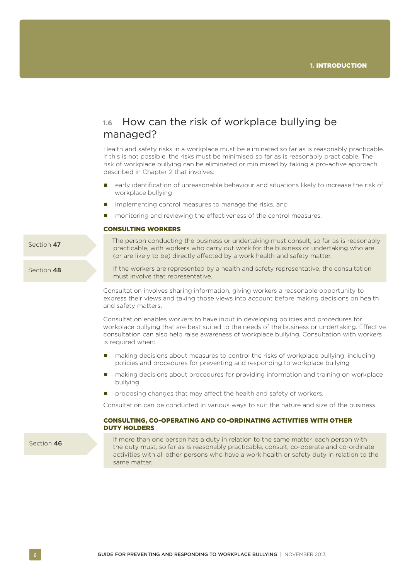### <span id="page-7-0"></span>**1.6** How can the risk of workplace bullying be managed?

Health and safety risks in a workplace must be eliminated so far as is reasonably practicable. If this is not possible, the risks must be minimised so far as is reasonably practicable. The risk of workplace bullying can be eliminated or minimised by taking a pro-active approach described in Chapter 2 that involves:

- early identification of unreasonable behaviour and situations likely to increase the risk of workplace bullying
- **n** implementing control measures to manage the risks, and
- monitoring and reviewing the effectiveness of the control measures.

(or are likely to be) directly affected by a work health and safety matter.

#### CONSULTING WORKERS

Section 47

Section 48

If the workers are represented by a health and safety representative, the consultation must involve that representative.

The person conducting the business or undertaking must consult, so far as is reasonably practicable, with workers who carry out work for the business or undertaking who are

Consultation involves sharing information, giving workers a reasonable opportunity to express their views and taking those views into account before making decisions on health and safety matters.

Consultation enables workers to have input in developing policies and procedures for workplace bullying that are best suited to the needs of the business or undertaking. Effective consultation can also help raise awareness of workplace bullying. Consultation with workers is required when:

- making decisions about measures to control the risks of workplace bullying, including policies and procedures for preventing and responding to workplace bullying
- making decisions about procedures for providing information and training on workplace bullying
- proposing changes that may affect the health and safety of workers.

Consultation can be conducted in various ways to suit the nature and size of the business.

### CONSULTING, CO-OPERATING AND CO-ORDINATING ACTIVITIES WITH OTHER DUTY HOLDERS

Section 46

If more than one person has a duty in relation to the same matter, each person with the duty must, so far as is reasonably practicable, consult, co-operate and co-ordinate activities with all other persons who have a work health or safety duty in relation to the same matter.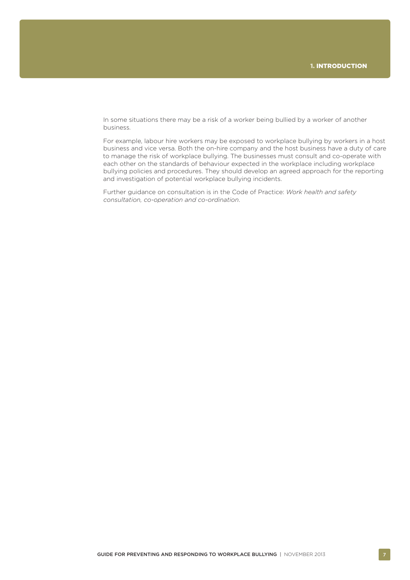In some situations there may be a risk of a worker being bullied by a worker of another business.

For example, labour hire workers may be exposed to workplace bullying by workers in a host business and vice versa. Both the on-hire company and the host business have a duty of care to manage the risk of workplace bullying. The businesses must consult and co-operate with each other on the standards of behaviour expected in the workplace including workplace bullying policies and procedures. They should develop an agreed approach for the reporting and investigation of potential workplace bullying incidents.

Further guidance on consultation is in the Code of Practice: *Work health and safety consultation, co-operation and co-ordination*.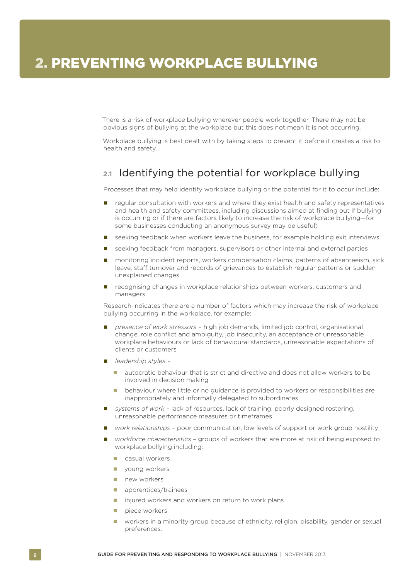<span id="page-9-0"></span>There is a risk of workplace bullying wherever people work together. There may not be obvious signs of bullying at the workplace but this does not mean it is not occurring.

Workplace bullying is best dealt with by taking steps to prevent it before it creates a risk to health and safety.

### **2.1** Identifying the potential for workplace bullying

Processes that may help identify workplace bullying or the potential for it to occur include:

- **Paramental regular consultation with workers and where they exist health and safety representatives** and health and safety committees, including discussions aimed at finding out if bullying is occurring or if there are factors likely to increase the risk of workplace bullying—for some businesses conducting an anonymous survey may be useful)
- seeking feedback when workers leave the business, for example holding exit interviews
- **E** seeking feedback from managers, supervisors or other internal and external parties
- **n** monitoring incident reports, workers compensation claims, patterns of absenteeism, sick leave, staff turnover and records of grievances to establish regular patterns or sudden unexplained changes
- **recognising changes in workplace relationships between workers, customers and** managers.

Research indicates there are a number of factors which may increase the risk of workplace bullying occurring in the workplace, for example:

- *presence of work stressors* high job demands, limited job control, organisational change, role conflict and ambiguity, job insecurity, an acceptance of unreasonable workplace behaviours or lack of behavioural standards, unreasonable expectations of clients or customers
- *leadership styles*
	- **u** autocratic behaviour that is strict and directive and does not allow workers to be involved in decision making
	- behaviour where little or no guidance is provided to workers or responsibilities are inappropriately and informally delegated to subordinates
- *systems of work* lack of resources, lack of training, poorly designed rostering, unreasonable performance measures or timeframes
- *work relationships* poor communication, low levels of support or work group hostility
- *workforce characteristics* groups of workers that are more at risk of being exposed to workplace bullying including:
	- **E** casual workers
	- voung workers
	- new workers
	- **a** apprentices/trainees
	- **injured workers and workers on return to work plans**
	- piece workers
	- **U** workers in a minority group because of ethnicity, religion, disability, gender or sexual preferences.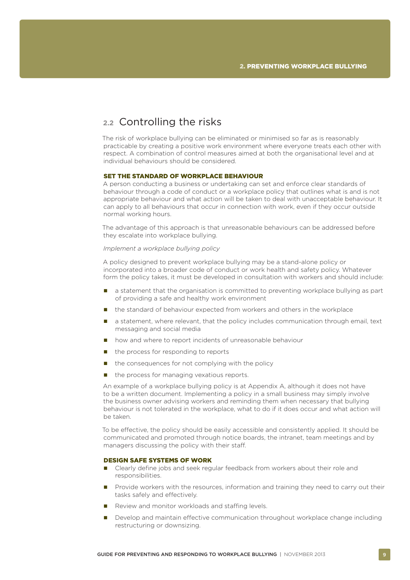### <span id="page-10-0"></span>**2.2** Controlling the risks

The risk of workplace bullying can be eliminated or minimised so far as is reasonably practicable by creating a positive work environment where everyone treats each other with respect. A combination of control measures aimed at both the organisational level and at individual behaviours should be considered.

#### SET THE STANDARD OF WORKPLACE BEHAVIOUR

A person conducting a business or undertaking can set and enforce clear standards of behaviour through a code of conduct or a workplace policy that outlines what is and is not appropriate behaviour and what action will be taken to deal with unacceptable behaviour. It can apply to all behaviours that occur in connection with work, even if they occur outside normal working hours.

The advantage of this approach is that unreasonable behaviours can be addressed before they escalate into workplace bullying.

#### *Implement a workplace bullying policy*

A policy designed to prevent workplace bullying may be a stand-alone policy or incorporated into a broader code of conduct or work health and safety policy. Whatever form the policy takes, it must be developed in consultation with workers and should include:

- a statement that the organisation is committed to preventing workplace bullying as part of providing a safe and healthy work environment
- **the standard of behaviour expected from workers and others in the workplace**
- a statement, where relevant, that the policy includes communication through email, text messaging and social media
- **n** how and where to report incidents of unreasonable behaviour
- $\blacksquare$  the process for responding to reports
- $\blacksquare$  the consequences for not complying with the policy
- $\blacksquare$  the process for managing vexatious reports.

An example of a workplace bullying policy is at Appendix A, although it does not have to be a written document. Implementing a policy in a small business may simply involve the business owner advising workers and reminding them when necessary that bullying behaviour is not tolerated in the workplace, what to do if it does occur and what action will be taken.

To be effective, the policy should be easily accessible and consistently applied. It should be communicated and promoted through notice boards, the intranet, team meetings and by managers discussing the policy with their staff.

#### DESIGN SAFE SYSTEMS OF WORK

- **E** Clearly define jobs and seek regular feedback from workers about their role and responsibilities.
- **Provide workers with the resources, information and training they need to carry out their** tasks safely and effectively.
- Review and monitor workloads and staffing levels.
- Develop and maintain effective communication throughout workplace change including restructuring or downsizing.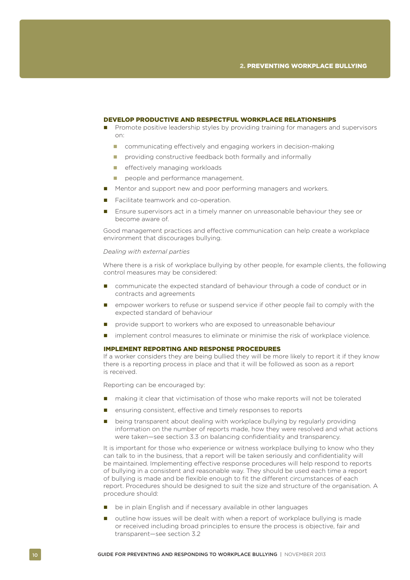#### DEVELOP PRODUCTIVE AND RESPECTFUL WORKPLACE RELATIONSHIPS

- **Promote positive leadership styles by providing training for managers and supervisors** on:
	- **communicating effectively and engaging workers in decision-making**
	- **P** providing constructive feedback both formally and informally
	- **E** effectively managing workloads
	- people and performance management.
- Mentor and support new and poor performing managers and workers.
- Facilitate teamwork and co-operation.
- **Ensure supervisors act in a timely manner on unreasonable behaviour they see or** become aware of.

Good management practices and effective communication can help create a workplace environment that discourages bullying.

#### *Dealing with external parties*

Where there is a risk of workplace bullying by other people, for example clients, the following control measures may be considered:

- communicate the expected standard of behaviour through a code of conduct or in contracts and agreements
- **EX** empower workers to refuse or suspend service if other people fail to comply with the expected standard of behaviour
- **P** provide support to workers who are exposed to unreasonable behaviour
- **Indement control measures to eliminate or minimise the risk of workplace violence.**

#### IMPLEMENT REPORTING AND RESPONSE PROCEDURES

If a worker considers they are being bullied they will be more likely to report it if they know there is a reporting process in place and that it will be followed as soon as a report is received.

Reporting can be encouraged by:

- making it clear that victimisation of those who make reports will not be tolerated
- ensuring consistent, effective and timely responses to reports
- being transparent about dealing with workplace bullying by regularly providing information on the number of reports made, how they were resolved and what actions were taken—see section 3.3 on balancing confidentiality and transparency.

It is important for those who experience or witness workplace bullying to know who they can talk to in the business, that a report will be taken seriously and confidentiality will be maintained. Implementing effective response procedures will help respond to reports of bullying in a consistent and reasonable way. They should be used each time a report of bullying is made and be flexible enough to fit the different circumstances of each report. Procedures should be designed to suit the size and structure of the organisation. A procedure should:

- $\blacksquare$  be in plain English and if necessary available in other languages
- outline how issues will be dealt with when a report of workplace bullying is made or received including broad principles to ensure the process is objective, fair and transparent—see section 3.2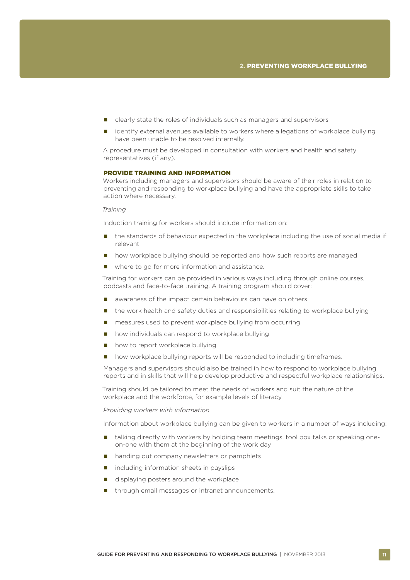- **E** clearly state the roles of individuals such as managers and supervisors
- identify external avenues available to workers where allegations of workplace bullying have been unable to be resolved internally.

A procedure must be developed in consultation with workers and health and safety representatives (if any).

#### PROVIDE TRAINING AND INFORMATION

Workers including managers and supervisors should be aware of their roles in relation to preventing and responding to workplace bullying and have the appropriate skills to take action where necessary.

#### *Training*

Induction training for workers should include information on:

- the standards of behaviour expected in the workplace including the use of social media if relevant
- **n** how workplace bullying should be reported and how such reports are managed
- where to go for more information and assistance.

Training for workers can be provided in various ways including through online courses, podcasts and face-to-face training. A training program should cover:

- awareness of the impact certain behaviours can have on others
- **n** the work health and safety duties and responsibilities relating to workplace bullying
- measures used to prevent workplace bullying from occurring
- how individuals can respond to workplace bullying
- how to report workplace bullying
- how workplace bullying reports will be responded to including timeframes.

Managers and supervisors should also be trained in how to respond to workplace bullying reports and in skills that will help develop productive and respectful workplace relationships.

Training should be tailored to meet the needs of workers and suit the nature of the workplace and the workforce, for example levels of literacy.

#### *Providing workers with information*

Information about workplace bullying can be given to workers in a number of ways including:

- **u** talking directly with workers by holding team meetings, tool box talks or speaking oneon-one with them at the beginning of the work day
- handing out company newsletters or pamphlets
- $\blacksquare$  including information sheets in payslips
- displaying posters around the workplace
- through email messages or intranet announcements.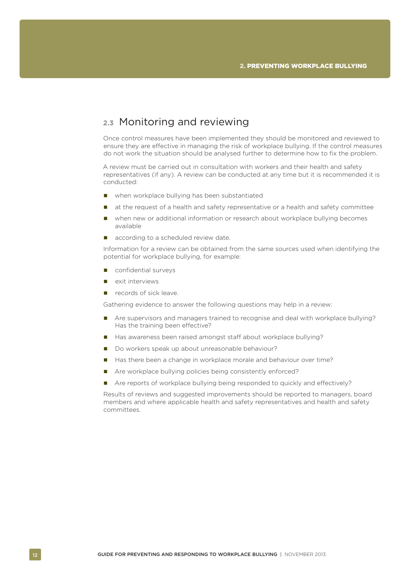### <span id="page-13-0"></span>**2.3** Monitoring and reviewing

Once control measures have been implemented they should be monitored and reviewed to ensure they are effective in managing the risk of workplace bullying. If the control measures do not work the situation should be analysed further to determine how to fix the problem.

A review must be carried out in consultation with workers and their health and safety representatives (if any). A review can be conducted at any time but it is recommended it is conducted:

- when workplace bullying has been substantiated
- at the request of a health and safety representative or a health and safety committee
- when new or additional information or research about workplace bullying becomes available
- according to a scheduled review date.

Information for a review can be obtained from the same sources used when identifying the potential for workplace bullying, for example:

- confidential surveys
- **E** exit interviews
- **P** records of sick leave.

Gathering evidence to answer the following questions may help in a review:

- Are supervisors and managers trained to recognise and deal with workplace bullying? Has the training been effective?
- Has awareness been raised amongst staff about workplace bullying?
- Do workers speak up about unreasonable behaviour?
- Has there been a change in workplace morale and behaviour over time?
- Are workplace bullying policies being consistently enforced?
- Are reports of workplace bullying being responded to quickly and effectively?

Results of reviews and suggested improvements should be reported to managers, board members and where applicable health and safety representatives and health and safety committees.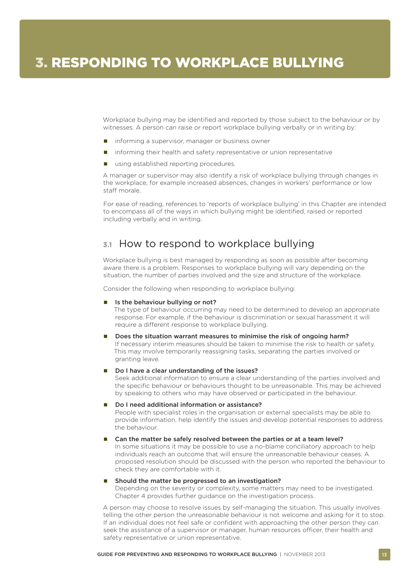<span id="page-14-0"></span>Workplace bullying may be identified and reported by those subject to the behaviour or by witnesses. A person can raise or report workplace bullying verbally or in writing by:

- **n** informing a supervisor, manager or business owner
- **n** informing their health and safety representative or union representative
- using established reporting procedures.

A manager or supervisor may also identify a risk of workplace bullying through changes in the workplace, for example increased absences, changes in workers' performance or low staff morale.

For ease of reading, references to 'reports of workplace bullying' in this Chapter are intended to encompass all of the ways in which bullying might be identified, raised or reported including verbally and in writing.

### **3.1** How to respond to workplace bullying

Workplace bullying is best managed by responding as soon as possible after becoming aware there is a problem. Responses to workplace bullying will vary depending on the situation, the number of parties involved and the size and structure of the workplace.

Consider the following when responding to workplace bullying:

#### Is the behaviour bullying or not?

The type of behaviour occurring may need to be determined to develop an appropriate response. For example, if the behaviour is discrimination or sexual harassment it will require a different response to workplace bullying.

#### Does the situation warrant measures to minimise the risk of ongoing harm?

If necessary interim measures should be taken to minimise the risk to health or safety. This may involve temporarily reassigning tasks, separating the parties involved or granting leave.

#### Do I have a clear understanding of the issues?

Seek additional information to ensure a clear understanding of the parties involved and the specific behaviour or behaviours thought to be unreasonable. This may be achieved by speaking to others who may have observed or participated in the behaviour.

#### ■ Do I need additional information or assistance?

People with specialist roles in the organisation or external specialists may be able to provide information, help identify the issues and develop potential responses to address the behaviour.

#### Can the matter be safely resolved between the parties or at a team level?

In some situations it may be possible to use a no-blame conciliatory approach to help individuals reach an outcome that will ensure the unreasonable behaviour ceases. A proposed resolution should be discussed with the person who reported the behaviour to check they are comfortable with it.

#### ■ Should the matter be progressed to an investigation?

Depending on the severity or complexity, some matters may need to be investigated. Chapter 4 provides further guidance on the investigation process.

A person may choose to resolve issues by self-managing the situation. This usually involves telling the other person the unreasonable behaviour is not welcome and asking for it to stop. If an individual does not feel safe or confident with approaching the other person they can seek the assistance of a supervisor or manager, human resources officer, their health and safety representative or union representative.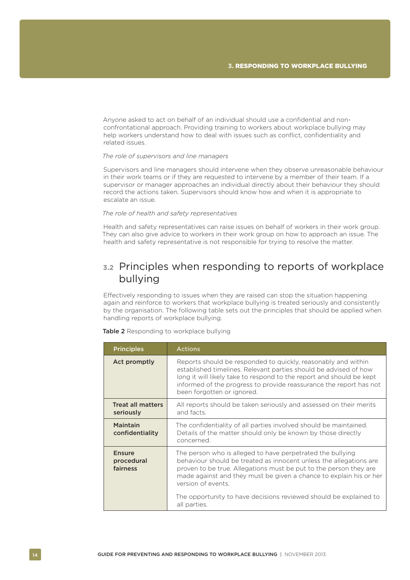<span id="page-15-0"></span>Anyone asked to act on behalf of an individual should use a confidential and nonconfrontational approach. Providing training to workers about workplace bullying may help workers understand how to deal with issues such as conflict, confidentiality and related issues.

#### *The role of supervisors and line managers*

Supervisors and line managers should intervene when they observe unreasonable behaviour in their work teams or if they are requested to intervene by a member of their team. If a supervisor or manager approaches an individual directly about their behaviour they should record the actions taken. Supervisors should know how and when it is appropriate to escalate an issue.

#### *The role of health and safety representatives*

Health and safety representatives can raise issues on behalf of workers in their work group. They can also give advice to workers in their work group on how to approach an issue. The health and safety representative is not responsible for trying to resolve the matter.

### **3.2** Principles when responding to reports of workplace bullying

Effectively responding to issues when they are raised can stop the situation happening again and reinforce to workers that workplace bullying is treated seriously and consistently by the organisation. The following table sets out the principles that should be applied when handling reports of workplace bullying.

| <b>Principles</b>                       | <b>Actions</b>                                                                                                                                                                                                                                                                                                                                                                         |
|-----------------------------------------|----------------------------------------------------------------------------------------------------------------------------------------------------------------------------------------------------------------------------------------------------------------------------------------------------------------------------------------------------------------------------------------|
| Act promptly                            | Reports should be responded to quickly, reasonably and within<br>established timelines. Relevant parties should be advised of how<br>long it will likely take to respond to the report and should be kept<br>informed of the progress to provide reassurance the report has not<br>been forgotten or ignored.                                                                          |
| <b>Treat all matters</b><br>seriously   | All reports should be taken seriously and assessed on their merits<br>and facts.                                                                                                                                                                                                                                                                                                       |
| Maintain<br>confidentiality             | The confidentiality of all parties involved should be maintained.<br>Details of the matter should only be known by those directly<br>concerned.                                                                                                                                                                                                                                        |
| <b>Ensure</b><br>procedural<br>fairness | The person who is alleged to have perpetrated the bullying<br>behaviour should be treated as innocent unless the allegations are<br>proven to be true. Allegations must be put to the person they are<br>made against and they must be given a chance to explain his or her<br>version of events.<br>The opportunity to have decisions reviewed should be explained to<br>all parties. |

Table 2 Responding to workplace bullying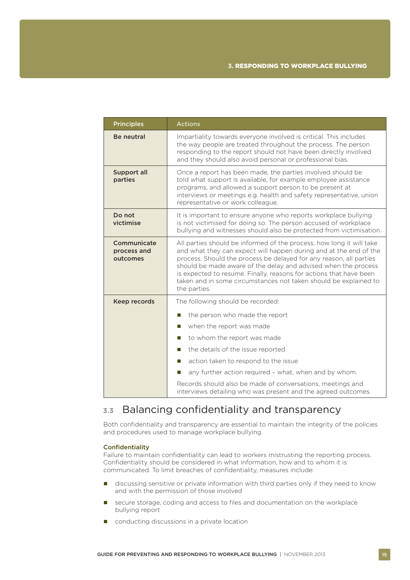<span id="page-16-0"></span>

| <b>Principles</b>                      | <b>Actions</b>                                                                                                                                                                                                                                                                                                                                                                                                                              |  |
|----------------------------------------|---------------------------------------------------------------------------------------------------------------------------------------------------------------------------------------------------------------------------------------------------------------------------------------------------------------------------------------------------------------------------------------------------------------------------------------------|--|
| <b>Be neutral</b>                      | Impartiality towards everyone involved is critical. This includes<br>the way people are treated throughout the process. The person<br>responding to the report should not have been directly involved<br>and they should also avoid personal or professional bias.                                                                                                                                                                          |  |
| Support all<br>parties                 | Once a report has been made, the parties involved should be<br>told what support is available, for example employee assistance<br>programs, and allowed a support person to be present at<br>interviews or meetings e.g. health and safety representative, union<br>representative or work colleague.                                                                                                                                       |  |
| Do not<br>victimise                    | It is important to ensure anyone who reports workplace bullying<br>is not victimised for doing so. The person accused of workplace<br>bullying and witnesses should also be protected from victimisation.                                                                                                                                                                                                                                   |  |
| Communicate<br>process and<br>outcomes | All parties should be informed of the process, how long it will take<br>and what they can expect will happen during and at the end of the<br>process. Should the process be delayed for any reason, all parties<br>should be made aware of the delay and advised when the process<br>is expected to resume. Finally, reasons for actions that have been<br>taken and in some circumstances not taken should be explained to<br>the parties. |  |
| Keep records                           | The following should be recorded:<br>the person who made the report<br>ш<br>when the report was made<br>П<br>to whom the report was made<br>П<br>the details of the issue reported<br>П<br>action taken to respond to the issue<br>П<br>any further action required - what, when and by whom.<br>ш<br>Records should also be made of conversations, meetings and<br>interviews detailing who was present and the agreed outcomes.           |  |

### **3.3** Balancing confidentiality and transparency

Both confidentiality and transparency are essential to maintain the integrity of the policies and procedures used to manage workplace bullying.

#### **Confidentiality**

Failure to maintain confidentiality can lead to workers mistrusting the reporting process. Confidentiality should be considered in what information, how and to whom it is communicated. To limit breaches of confidentiality, measures include:

- **discussing sensitive or private information with third parties only if they need to know** and with the permission of those involved
- **E** secure storage, coding and access to files and documentation on the workplace bullying report
- conducting discussions in a private location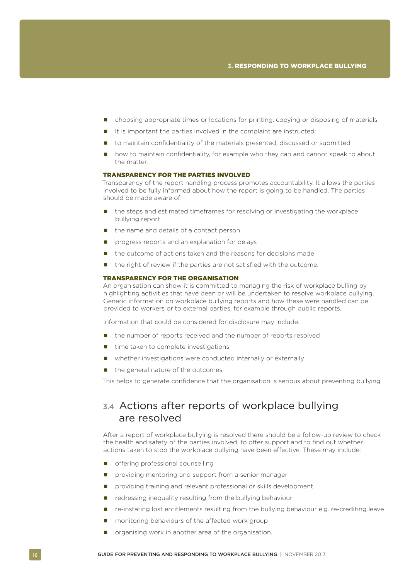- <span id="page-17-0"></span>choosing appropriate times or locations for printing, copying or disposing of materials.
- It is important the parties involved in the complaint are instructed:
- to maintain confidentiality of the materials presented, discussed or submitted
- how to maintain confidentiality, for example who they can and cannot speak to about the matter.

#### TRANSPARENCY FOR THE PARTIES INVOLVED

Transparency of the report handling process promotes accountability. It allows the parties involved to be fully informed about how the report is going to be handled. The parties should be made aware of:

- **n** the steps and estimated timeframes for resolving or investigating the workplace bullying report
- $\blacksquare$  the name and details of a contact person
- **P** progress reports and an explanation for delays
- $\blacksquare$  the outcome of actions taken and the reasons for decisions made
- the right of review if the parties are not satisfied with the outcome.

#### TRANSPARENCY FOR THE ORGANISATION

An organisation can show it is committed to managing the risk of workplace bulling by highlighting activities that have been or will be undertaken to resolve workplace bullying. Generic information on workplace bullying reports and how these were handled can be provided to workers or to external parties, for example through public reports.

Information that could be considered for disclosure may include:

- the number of reports received and the number of reports resolved
- $\blacksquare$  time taken to complete investigations
- whether investigations were conducted internally or externally
- $\blacksquare$  the general nature of the outcomes.

This helps to generate confidence that the organisation is serious about preventing bullying.

### **3.4** Actions after reports of workplace bullying are resolved

After a report of workplace bullying is resolved there should be a follow-up review to check the health and safety of the parties involved, to offer support and to find out whether actions taken to stop the workplace bullying have been effective. These may include:

- **n** offering professional counselling
- providing mentoring and support from a senior manager
- **P** providing training and relevant professional or skills development
- $\blacksquare$  redressing inequality resulting from the bullying behaviour
- re-instating lost entitlements resulting from the bullying behaviour e.g. re-crediting leave
- **n** monitoring behaviours of the affected work group
- organising work in another area of the organisation.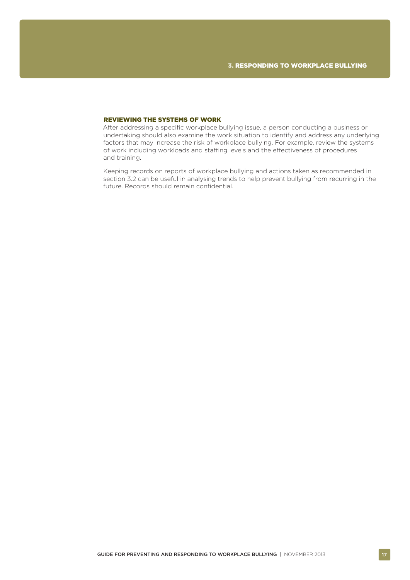#### REVIEWING THE SYSTEMS OF WORK

After addressing a specific workplace bullying issue, a person conducting a business or undertaking should also examine the work situation to identify and address any underlying factors that may increase the risk of workplace bullying. For example, review the systems of work including workloads and staffing levels and the effectiveness of procedures and training.

Keeping records on reports of workplace bullying and actions taken as recommended in section 3.2 can be useful in analysing trends to help prevent bullying from recurring in the future. Records should remain confidential.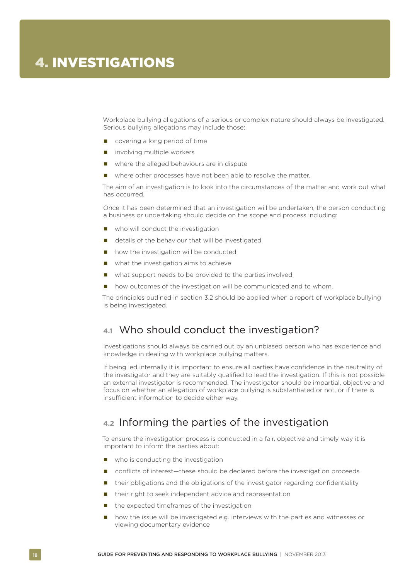<span id="page-19-0"></span>Workplace bullying allegations of a serious or complex nature should always be investigated. Serious bullying allegations may include those:

- covering a long period of time
- $\blacksquare$  involving multiple workers
- where the alleged behaviours are in dispute
- where other processes have not been able to resolve the matter.

The aim of an investigation is to look into the circumstances of the matter and work out what has occurred.

Once it has been determined that an investigation will be undertaken, the person conducting a business or undertaking should decide on the scope and process including:

- who will conduct the investigation
- details of the behaviour that will be investigated
- **n** how the investigation will be conducted
- $\blacksquare$  what the investigation aims to achieve
- what support needs to be provided to the parties involved
- how outcomes of the investigation will be communicated and to whom.

The principles outlined in section 3.2 should be applied when a report of workplace bullying is being investigated.

### **4.1** Who should conduct the investigation?

Investigations should always be carried out by an unbiased person who has experience and knowledge in dealing with workplace bullying matters.

If being led internally it is important to ensure all parties have confidence in the neutrality of the investigator and they are suitably qualified to lead the investigation. If this is not possible an external investigator is recommended. The investigator should be impartial, objective and focus on whether an allegation of workplace bullying is substantiated or not, or if there is insufficient information to decide either way.

### **4.2** Informing the parties of the investigation

To ensure the investigation process is conducted in a fair, objective and timely way it is important to inform the parties about:

- who is conducting the investigation
- conflicts of interest—these should be declared before the investigation proceeds
- their obligations and the obligations of the investigator regarding confidentiality
- their right to seek independent advice and representation
- the expected timeframes of the investigation
- how the issue will be investigated e.g. interviews with the parties and witnesses or viewing documentary evidence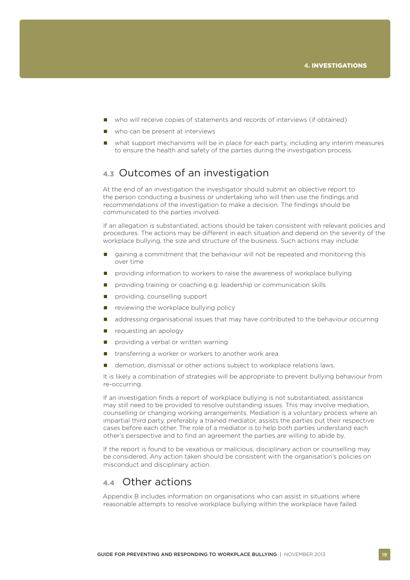- <span id="page-20-0"></span>who will receive copies of statements and records of interviews (if obtained)
- who can be present at interviews
- what support mechanisms will be in place for each party, including any interim measures to ensure the health and safety of the parties during the investigation process.

### **4.3** Outcomes of an investigation

At the end of an investigation the investigator should submit an objective report to the person conducting a business or undertaking who will then use the findings and recommendations of the investigation to make a decision. The findings should be communicated to the parties involved.

If an allegation is substantiated, actions should be taken consistent with relevant policies and procedures. The actions may be different in each situation and depend on the severity of the workplace bullying, the size and structure of the business. Such actions may include:

- gaining a commitment that the behaviour will not be repeated and monitoring this over time
- providing information to workers to raise the awareness of workplace bullying
- **Part** providing training or coaching e.g. leadership or communication skills
- **providing, counselling support**
- $\blacksquare$  reviewing the workplace bullying policy
- addressing organisational issues that may have contributed to the behaviour occurring
- $\blacksquare$  requesting an apology
- providing a verbal or written warning
- transferring a worker or workers to another work area
- demotion, dismissal or other actions subject to workplace relations laws.

It is likely a combination of strategies will be appropriate to prevent bullying behaviour from re-occurring.

If an investigation finds a report of workplace bullying is not substantiated, assistance may still need to be provided to resolve outstanding issues. This may involve mediation, counselling or changing working arrangements. Mediation is a voluntary process where an impartial third party, preferably a trained mediator, assists the parties put their respective cases before each other. The role of a mediator is to help both parties understand each other's perspective and to find an agreement the parties are willing to abide by.

If the report is found to be vexatious or malicious, disciplinary action or counselling may be considered. Any action taken should be consistent with the organisation's policies on misconduct and disciplinary action.

### **4.4** Other actions

Appendix B includes information on organisations who can assist in situations where reasonable attempts to resolve workplace bullying within the workplace have failed.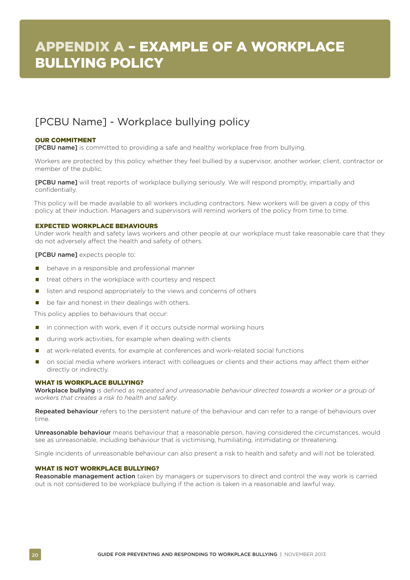### <span id="page-21-0"></span>[PCBU Name] - Workplace bullying policy

#### OUR COMMITMENT

**[PCBU name]** is committed to providing a safe and healthy workplace free from bullying.

Workers are protected by this policy whether they feel bullied by a supervisor, another worker, client, contractor or member of the public.

[PCBU name] will treat reports of workplace bullying seriously. We will respond promptly, impartially and confidentially.

This policy will be made available to all workers including contractors. New workers will be given a copy of this policy at their induction. Managers and supervisors will remind workers of the policy from time to time.

#### EXPECTED WORKPLACE BEHAVIOURS

Under work health and safety laws workers and other people at our workplace must take reasonable care that they do not adversely affect the health and safety of others.

**[PCBU name]** expects people to:

- $\blacksquare$  behave in a responsible and professional manner
- treat others in the workplace with courtesy and respect
- **If** listen and respond appropriately to the views and concerns of others
- be fair and honest in their dealings with others.

This policy applies to behaviours that occur:

- in connection with work, even if it occurs outside normal working hours
- during work activities, for example when dealing with clients
- at work-related events, for example at conferences and work-related social functions
- on social media where workers interact with colleagues or clients and their actions may affect them either directly or indirectly.

#### WHAT IS WORKPLACE BULLYING?

Workplace bullying is defined as *repeated and unreasonable behaviour directed towards a worker or a group of workers that creates a risk to health and safety*.

Repeated behaviour refers to the persistent nature of the behaviour and can refer to a range of behaviours over time.

Unreasonable behaviour means behaviour that a reasonable person, having considered the circumstances, would see as unreasonable, including behaviour that is victimising, humiliating, intimidating or threatening.

Single incidents of unreasonable behaviour can also present a risk to health and safety and will not be tolerated.

#### WHAT IS NOT WORKPLACE BULLYING?

Reasonable management action taken by managers or supervisors to direct and control the way work is carried out is not considered to be workplace bullying if the action is taken in a reasonable and lawful way.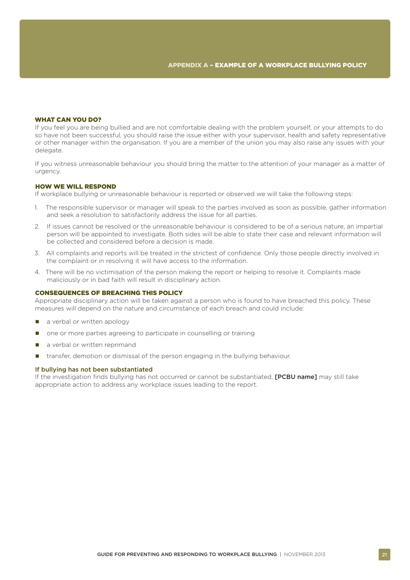#### WHAT CAN YOU DO?

If you feel you are being bullied and are not comfortable dealing with the problem yourself, or your attempts to do so have not been successful, you should raise the issue either with your supervisor, health and safety representative or other manager within the organisation. If you are a member of the union you may also raise any issues with your delegate.

If you witness unreasonable behaviour you should bring the matter to the attention of your manager as a matter of urgency.

#### HOW WE WILL RESPOND

If workplace bullying or unreasonable behaviour is reported or observed we will take the following steps:

- 1. The responsible supervisor or manager will speak to the parties involved as soon as possible, gather information and seek a resolution to satisfactorily address the issue for all parties.
- 2. If issues cannot be resolved or the unreasonable behaviour is considered to be of a serious nature, an impartial person will be appointed to investigate. Both sides will be able to state their case and relevant information will be collected and considered before a decision is made.
- 3. All complaints and reports will be treated in the strictest of confidence. Only those people directly involved in the complaint or in resolving it will have access to the information.
- 4. There will be no victimisation of the person making the report or helping to resolve it. Complaints made maliciously or in bad faith will result in disciplinary action.

#### CONSEQUENCES OF BREACHING THIS POLICY

Appropriate disciplinary action will be taken against a person who is found to have breached this policy. These measures will depend on the nature and circumstance of each breach and could include:

- a verbal or written apology
- one or more parties agreeing to participate in counselling or training
- a verbal or written reprimand
- transfer, demotion or dismissal of the person engaging in the bullying behaviour.

#### If bullying has not been substantiated

If the investigation finds bullying has not occurred or cannot be substantiated. **[PCBU name]** may still take appropriate action to address any workplace issues leading to the report.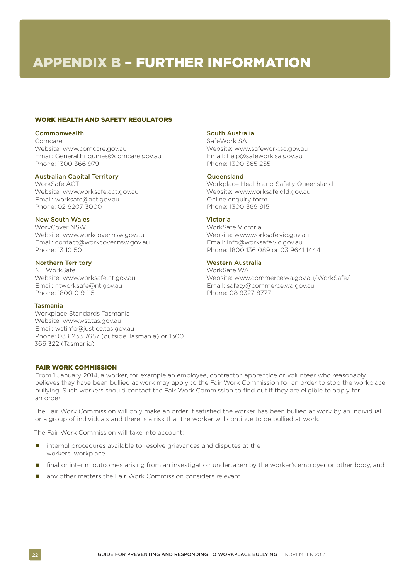# <span id="page-23-0"></span>APPENDIX B – FURTHER INFORMATION

#### WORK HEALTH AND SAFETY REGULATORS

#### **Commonwealth**

Comcare

Website: www.comcare.gov.au Email: General.Enquiries@comcare.gov.au Phone: 1300 366 979

#### Australian Capital Territory

WorkSafe ACT Website: www.worksafe.act.gov.au Email: worksafe@act.gov.au Phone: 02 6207 3000

#### New South Wales

WorkCover NSW Website: www.workcover.nsw.gov.au Email: contact@workcover.nsw.gov.au Phone: 13 10 50

#### Northern Territory

NT WorkSafe Website: www.worksafe.nt.gov.au Email: ntworksafe@nt.gov.au Phone: 1800 019 115

#### Tasmania

Workplace Standards Tasmania Website: www.wst.tas.gov.au Email: wstinfo@justice.tas.gov.au Phone: 03 6233 7657 (outside Tasmania) or 1300 366 322 (Tasmania)

Workplace Health and Safety Queensland Website: www.worksafe.qld.gov.au [Online enquiry form](http://www.deir.qld.gov.au/workplace/aboutus/contactus/whsenquiry.htm) Phone: 1300 369 915

Website: www.safework.sa.gov.au Email: help@safework.sa.gov.au

#### Victoria

South Australia SafeWork SA

**Queensland** 

Phone: 1300 365 255

WorkSafe Victoria Website: www.worksafe.vic.gov.au Email: info@worksafe.vic.gov.au Phone: 1800 136 089 or 03 9641 1444

#### Western Australia

WorkSafe WA Website: www.commerce.wa.gov.au/WorkSafe/ Email: safety@commerce.wa.gov.au Phone: 08 9327 8777

#### FAIR WORK COMMISSION

From 1 January 2014, a worker, for example an employee, contractor, apprentice or volunteer who reasonably believes they have been bullied at work may apply to the Fair Work Commission for an order to stop the workplace bullying. Such workers should contact the Fair Work Commission to find out if they are eligible to apply for an order.

The Fair Work Commission will only make an order if satisfied the worker has been bullied at work by an individual or a group of individuals and there is a risk that the worker will continue to be bullied at work.

The Fair Work Commission will take into account:

- **n** internal procedures available to resolve grievances and disputes at the workers' workplace
- **final or interim outcomes arising from an investigation undertaken by the worker's employer or other body, and**
- any other matters the Fair Work Commission considers relevant.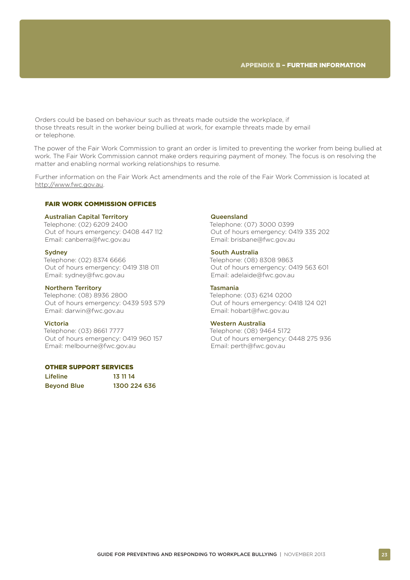Orders could be based on behaviour such as threats made outside the workplace, if those threats result in the worker being bullied at work, for example threats made by email or telephone.

The power of the Fair Work Commission to grant an order is limited to preventing the worker from being bullied at work. The Fair Work Commission cannot make orders requiring payment of money. The focus is on resolving the matter and enabling normal working relationships to resume.

Further information on the Fair Work Act amendments and the role of the Fair Work Commission is located at http://www.fwc.gov.au.

#### FAIR WORK COMMISSION OFFICES

#### Australian Capital Territory

Telephone: (02) 6209 2400 Out of hours emergency: 0408 447 112 Email: canberra@fwc.gov.au

#### **Sydney**

Telephone: (02) 8374 6666 Out of hours emergency: 0419 318 011 Email: sydney@fwc.gov.au

#### Northern Territory

Telephone: (08) 8936 2800 Out of hours emergency: 0439 593 579 Email: darwin@fwc.gov.au

#### Victoria

Telephone: (03) 8661 7777 Out of hours emergency: 0419 960 157 Email: melbourne@fwc.gov.au

#### OTHER SUPPORT SERVICES

| <b>Lifeline</b>    | 13 11 14     |
|--------------------|--------------|
| <b>Beyond Blue</b> | 1300 224 636 |

#### Queensland

Telephone: (07) 3000 0399 Out of hours emergency: 0419 335 202 Email: brisbane@fwc.gov.au

#### South Australia

Telephone: (08) 8308 9863 Out of hours emergency: 0419 563 601 Email: adelaide@fwc.gov.au

#### Tasmania

Telephone: (03) 6214 0200 Out of hours emergency: 0418 124 021 Email: hobart@fwc.gov.au

#### Western Australia

Telephone: (08) 9464 5172 Out of hours emergency: 0448 275 936 Email: perth@fwc.gov.au